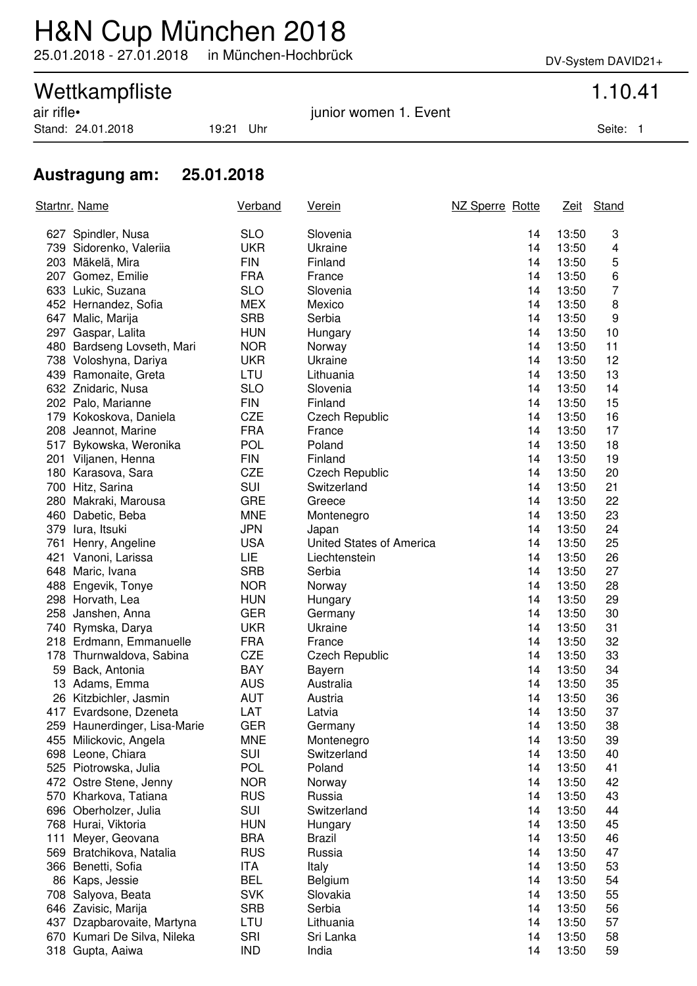## H&N Cup München 2018

25.01.2018 - 27.01.2018 in München-Hochbrück DV-System DAVID21+

# Wettkampfliste<br>
air rifle•<br>
1.10.41<br>
iunior women 1. Event

Stand: 24.01.2018 19:21 Uhr Seite: 1

junior women 1. Event

### **Austragung am: 25.01.2018**

| <b>SLO</b><br>13:50<br>627 Spindler, Nusa<br>Slovenia<br>14<br>3<br><b>UKR</b><br>739 Sidorenko, Valeriia<br>Ukraine<br>14<br>13:50<br>4<br>5<br>203 Mäkelä, Mira<br><b>FIN</b><br>Finland<br>13:50<br>14<br>6<br>207 Gomez, Emilie<br><b>FRA</b><br>14<br>13:50<br>France<br><b>SLO</b><br>7<br>633 Lukic, Suzana<br>Slovenia<br>14<br>13:50<br><b>MEX</b><br>8<br>452 Hernandez, Sofia<br>Mexico<br>14<br>13:50<br><b>SRB</b><br>9<br>Serbia<br>14<br>647 Malic, Marija<br>13:50<br>297 Gaspar, Lalita<br><b>HUN</b><br>14<br>13:50<br>10<br>Hungary<br><b>NOR</b><br>480 Bardseng Lovseth, Mari<br>14<br>13:50<br>11<br>Norway<br><b>UKR</b><br>738 Voloshyna, Dariya<br>Ukraine<br>14<br>13:50<br>12<br>LTU<br>439 Ramonaite, Greta<br>Lithuania<br>14<br>13:50<br>13<br><b>SLO</b><br>632 Znidaric, Nusa<br>Slovenia<br>14<br>13:50<br>14<br><b>FIN</b><br>202 Palo, Marianne<br>Finland<br>13:50<br>15<br>14<br><b>CZE</b><br>179 Kokoskova, Daniela<br>14<br>13:50<br>16<br><b>Czech Republic</b><br><b>FRA</b><br>208 Jeannot, Marine<br>14<br>13:50<br>17<br>France<br><b>POL</b><br>517 Bykowska, Weronika<br>Poland<br>14<br>13:50<br>18<br>201 Viljanen, Henna<br><b>FIN</b><br>Finland<br>14<br>13:50<br>19<br><b>CZE</b><br>180 Karasova, Sara<br><b>Czech Republic</b><br>14<br>13:50<br>20<br>SUI<br>700 Hitz, Sarina<br>Switzerland<br>14<br>13:50<br>21<br><b>GRE</b><br>22<br>280 Makraki, Marousa<br>14<br>13:50<br>Greece<br><b>MNE</b><br>460 Dabetic, Beba<br>13:50<br>23<br>Montenegro<br>14<br><b>JPN</b><br>379 lura, Itsuki<br>14<br>13:50<br>24<br>Japan<br><b>USA</b><br>25<br>761 Henry, Angeline<br>United States of America<br>14<br>13:50<br><b>LIE</b><br>421 Vanoni, Larissa<br>13:50<br>26<br>Liechtenstein<br>14<br><b>SRB</b><br>648 Maric, Ivana<br>Serbia<br>14<br>13:50<br>27<br><b>NOR</b><br>488 Engevik, Tonye<br>14<br>13:50<br>28<br>Norway<br>298 Horvath, Lea<br><b>HUN</b><br>14<br>13:50<br>29<br>Hungary<br>258 Janshen, Anna<br><b>GER</b><br>14<br>13:50<br>30<br>Germany<br><b>UKR</b><br>Ukraine<br>13:50<br>31<br>740 Rymska, Darya<br>14<br>32<br><b>FRA</b><br>14<br>13:50<br>218 Erdmann, Emmanuelle<br>France<br>CZE<br>13:50<br>33<br>178 Thurnwaldova, Sabina<br><b>Czech Republic</b><br>14<br><b>BAY</b><br>59 Back, Antonia<br>34<br>Bayern<br>14<br>13:50<br><b>AUS</b><br>13 Adams, Emma<br>Australia<br>35<br>14<br>13:50<br>26 Kitzbichler, Jasmin<br><b>AUT</b><br>Austria<br>36<br>14<br>13:50<br>417 Evardsone, Dzeneta<br>LAT<br>14<br>13:50<br>37<br>Latvia<br><b>GER</b><br>14<br>13:50<br>38<br>259 Haunerdinger, Lisa-Marie<br>Germany<br><b>MNE</b><br>39<br>14<br>13:50<br>455 Milickovic, Angela<br>Montenegro<br>SUI<br>Switzerland<br>698 Leone, Chiara<br>14<br>13:50<br>40<br><b>POL</b><br>Poland<br>525 Piotrowska, Julia<br>14<br>13:50<br>41<br><b>NOR</b><br>42<br>472 Ostre Stene, Jenny<br>14<br>13:50<br>Norway<br><b>RUS</b><br>43<br>570 Kharkova, Tatiana<br>Russia<br>14<br>13:50<br>SUI<br>696 Oberholzer, Julia<br>Switzerland<br>14<br>13:50<br>44<br><b>HUN</b><br>45<br>768 Hurai, Viktoria<br>14<br>13:50<br>Hungary<br><b>BRA</b><br>111<br>Meyer, Geovana<br><b>Brazil</b><br>14<br>13:50<br>46<br><b>RUS</b><br>569 Bratchikova, Natalia<br>Russia<br>14<br>13:50<br>47<br>ITA<br>53<br>366 Benetti, Sofia<br>Italy<br>14<br>13:50<br><b>BEL</b><br>86 Kaps, Jessie<br>Belgium<br>14<br>13:50<br>54<br><b>SVK</b><br>Slovakia<br>708 Salyova, Beata<br>14<br>13:50<br>55<br><b>SRB</b><br>Serbia<br>56<br>646 Zavisic, Marija<br>14<br>13:50<br>LTU<br>437<br>Dzapbarovaite, Martyna<br>Lithuania<br>14<br>13:50<br>57<br>SRI<br>Sri Lanka<br>58<br>670 Kumari De Silva, Nileka<br>14<br>13:50<br><b>IND</b><br>13:50<br>59<br>318 Gupta, Aaiwa<br>India<br>14 | <u>Startnr. Name</u> |  | Verband | <b>Verein</b> | NZ Sperre Rotte | Zeit Stand |
|-------------------------------------------------------------------------------------------------------------------------------------------------------------------------------------------------------------------------------------------------------------------------------------------------------------------------------------------------------------------------------------------------------------------------------------------------------------------------------------------------------------------------------------------------------------------------------------------------------------------------------------------------------------------------------------------------------------------------------------------------------------------------------------------------------------------------------------------------------------------------------------------------------------------------------------------------------------------------------------------------------------------------------------------------------------------------------------------------------------------------------------------------------------------------------------------------------------------------------------------------------------------------------------------------------------------------------------------------------------------------------------------------------------------------------------------------------------------------------------------------------------------------------------------------------------------------------------------------------------------------------------------------------------------------------------------------------------------------------------------------------------------------------------------------------------------------------------------------------------------------------------------------------------------------------------------------------------------------------------------------------------------------------------------------------------------------------------------------------------------------------------------------------------------------------------------------------------------------------------------------------------------------------------------------------------------------------------------------------------------------------------------------------------------------------------------------------------------------------------------------------------------------------------------------------------------------------------------------------------------------------------------------------------------------------------------------------------------------------------------------------------------------------------------------------------------------------------------------------------------------------------------------------------------------------------------------------------------------------------------------------------------------------------------------------------------------------------------------------------------------------------------------------------------------------------------------------------------------------------------------------------------------------------------------------------------------------------------------------------------------------------------------------------------------------------------------------------------------------------------------------------------------------------------------------------------------------------------------------------------------------------------------------------------------------------------------------------------------------------------------------------------------|----------------------|--|---------|---------------|-----------------|------------|
|                                                                                                                                                                                                                                                                                                                                                                                                                                                                                                                                                                                                                                                                                                                                                                                                                                                                                                                                                                                                                                                                                                                                                                                                                                                                                                                                                                                                                                                                                                                                                                                                                                                                                                                                                                                                                                                                                                                                                                                                                                                                                                                                                                                                                                                                                                                                                                                                                                                                                                                                                                                                                                                                                                                                                                                                                                                                                                                                                                                                                                                                                                                                                                                                                                                                                                                                                                                                                                                                                                                                                                                                                                                                                                                                                                         |                      |  |         |               |                 |            |
|                                                                                                                                                                                                                                                                                                                                                                                                                                                                                                                                                                                                                                                                                                                                                                                                                                                                                                                                                                                                                                                                                                                                                                                                                                                                                                                                                                                                                                                                                                                                                                                                                                                                                                                                                                                                                                                                                                                                                                                                                                                                                                                                                                                                                                                                                                                                                                                                                                                                                                                                                                                                                                                                                                                                                                                                                                                                                                                                                                                                                                                                                                                                                                                                                                                                                                                                                                                                                                                                                                                                                                                                                                                                                                                                                                         |                      |  |         |               |                 |            |
|                                                                                                                                                                                                                                                                                                                                                                                                                                                                                                                                                                                                                                                                                                                                                                                                                                                                                                                                                                                                                                                                                                                                                                                                                                                                                                                                                                                                                                                                                                                                                                                                                                                                                                                                                                                                                                                                                                                                                                                                                                                                                                                                                                                                                                                                                                                                                                                                                                                                                                                                                                                                                                                                                                                                                                                                                                                                                                                                                                                                                                                                                                                                                                                                                                                                                                                                                                                                                                                                                                                                                                                                                                                                                                                                                                         |                      |  |         |               |                 |            |
|                                                                                                                                                                                                                                                                                                                                                                                                                                                                                                                                                                                                                                                                                                                                                                                                                                                                                                                                                                                                                                                                                                                                                                                                                                                                                                                                                                                                                                                                                                                                                                                                                                                                                                                                                                                                                                                                                                                                                                                                                                                                                                                                                                                                                                                                                                                                                                                                                                                                                                                                                                                                                                                                                                                                                                                                                                                                                                                                                                                                                                                                                                                                                                                                                                                                                                                                                                                                                                                                                                                                                                                                                                                                                                                                                                         |                      |  |         |               |                 |            |
|                                                                                                                                                                                                                                                                                                                                                                                                                                                                                                                                                                                                                                                                                                                                                                                                                                                                                                                                                                                                                                                                                                                                                                                                                                                                                                                                                                                                                                                                                                                                                                                                                                                                                                                                                                                                                                                                                                                                                                                                                                                                                                                                                                                                                                                                                                                                                                                                                                                                                                                                                                                                                                                                                                                                                                                                                                                                                                                                                                                                                                                                                                                                                                                                                                                                                                                                                                                                                                                                                                                                                                                                                                                                                                                                                                         |                      |  |         |               |                 |            |
|                                                                                                                                                                                                                                                                                                                                                                                                                                                                                                                                                                                                                                                                                                                                                                                                                                                                                                                                                                                                                                                                                                                                                                                                                                                                                                                                                                                                                                                                                                                                                                                                                                                                                                                                                                                                                                                                                                                                                                                                                                                                                                                                                                                                                                                                                                                                                                                                                                                                                                                                                                                                                                                                                                                                                                                                                                                                                                                                                                                                                                                                                                                                                                                                                                                                                                                                                                                                                                                                                                                                                                                                                                                                                                                                                                         |                      |  |         |               |                 |            |
|                                                                                                                                                                                                                                                                                                                                                                                                                                                                                                                                                                                                                                                                                                                                                                                                                                                                                                                                                                                                                                                                                                                                                                                                                                                                                                                                                                                                                                                                                                                                                                                                                                                                                                                                                                                                                                                                                                                                                                                                                                                                                                                                                                                                                                                                                                                                                                                                                                                                                                                                                                                                                                                                                                                                                                                                                                                                                                                                                                                                                                                                                                                                                                                                                                                                                                                                                                                                                                                                                                                                                                                                                                                                                                                                                                         |                      |  |         |               |                 |            |
|                                                                                                                                                                                                                                                                                                                                                                                                                                                                                                                                                                                                                                                                                                                                                                                                                                                                                                                                                                                                                                                                                                                                                                                                                                                                                                                                                                                                                                                                                                                                                                                                                                                                                                                                                                                                                                                                                                                                                                                                                                                                                                                                                                                                                                                                                                                                                                                                                                                                                                                                                                                                                                                                                                                                                                                                                                                                                                                                                                                                                                                                                                                                                                                                                                                                                                                                                                                                                                                                                                                                                                                                                                                                                                                                                                         |                      |  |         |               |                 |            |
|                                                                                                                                                                                                                                                                                                                                                                                                                                                                                                                                                                                                                                                                                                                                                                                                                                                                                                                                                                                                                                                                                                                                                                                                                                                                                                                                                                                                                                                                                                                                                                                                                                                                                                                                                                                                                                                                                                                                                                                                                                                                                                                                                                                                                                                                                                                                                                                                                                                                                                                                                                                                                                                                                                                                                                                                                                                                                                                                                                                                                                                                                                                                                                                                                                                                                                                                                                                                                                                                                                                                                                                                                                                                                                                                                                         |                      |  |         |               |                 |            |
|                                                                                                                                                                                                                                                                                                                                                                                                                                                                                                                                                                                                                                                                                                                                                                                                                                                                                                                                                                                                                                                                                                                                                                                                                                                                                                                                                                                                                                                                                                                                                                                                                                                                                                                                                                                                                                                                                                                                                                                                                                                                                                                                                                                                                                                                                                                                                                                                                                                                                                                                                                                                                                                                                                                                                                                                                                                                                                                                                                                                                                                                                                                                                                                                                                                                                                                                                                                                                                                                                                                                                                                                                                                                                                                                                                         |                      |  |         |               |                 |            |
|                                                                                                                                                                                                                                                                                                                                                                                                                                                                                                                                                                                                                                                                                                                                                                                                                                                                                                                                                                                                                                                                                                                                                                                                                                                                                                                                                                                                                                                                                                                                                                                                                                                                                                                                                                                                                                                                                                                                                                                                                                                                                                                                                                                                                                                                                                                                                                                                                                                                                                                                                                                                                                                                                                                                                                                                                                                                                                                                                                                                                                                                                                                                                                                                                                                                                                                                                                                                                                                                                                                                                                                                                                                                                                                                                                         |                      |  |         |               |                 |            |
|                                                                                                                                                                                                                                                                                                                                                                                                                                                                                                                                                                                                                                                                                                                                                                                                                                                                                                                                                                                                                                                                                                                                                                                                                                                                                                                                                                                                                                                                                                                                                                                                                                                                                                                                                                                                                                                                                                                                                                                                                                                                                                                                                                                                                                                                                                                                                                                                                                                                                                                                                                                                                                                                                                                                                                                                                                                                                                                                                                                                                                                                                                                                                                                                                                                                                                                                                                                                                                                                                                                                                                                                                                                                                                                                                                         |                      |  |         |               |                 |            |
|                                                                                                                                                                                                                                                                                                                                                                                                                                                                                                                                                                                                                                                                                                                                                                                                                                                                                                                                                                                                                                                                                                                                                                                                                                                                                                                                                                                                                                                                                                                                                                                                                                                                                                                                                                                                                                                                                                                                                                                                                                                                                                                                                                                                                                                                                                                                                                                                                                                                                                                                                                                                                                                                                                                                                                                                                                                                                                                                                                                                                                                                                                                                                                                                                                                                                                                                                                                                                                                                                                                                                                                                                                                                                                                                                                         |                      |  |         |               |                 |            |
|                                                                                                                                                                                                                                                                                                                                                                                                                                                                                                                                                                                                                                                                                                                                                                                                                                                                                                                                                                                                                                                                                                                                                                                                                                                                                                                                                                                                                                                                                                                                                                                                                                                                                                                                                                                                                                                                                                                                                                                                                                                                                                                                                                                                                                                                                                                                                                                                                                                                                                                                                                                                                                                                                                                                                                                                                                                                                                                                                                                                                                                                                                                                                                                                                                                                                                                                                                                                                                                                                                                                                                                                                                                                                                                                                                         |                      |  |         |               |                 |            |
|                                                                                                                                                                                                                                                                                                                                                                                                                                                                                                                                                                                                                                                                                                                                                                                                                                                                                                                                                                                                                                                                                                                                                                                                                                                                                                                                                                                                                                                                                                                                                                                                                                                                                                                                                                                                                                                                                                                                                                                                                                                                                                                                                                                                                                                                                                                                                                                                                                                                                                                                                                                                                                                                                                                                                                                                                                                                                                                                                                                                                                                                                                                                                                                                                                                                                                                                                                                                                                                                                                                                                                                                                                                                                                                                                                         |                      |  |         |               |                 |            |
|                                                                                                                                                                                                                                                                                                                                                                                                                                                                                                                                                                                                                                                                                                                                                                                                                                                                                                                                                                                                                                                                                                                                                                                                                                                                                                                                                                                                                                                                                                                                                                                                                                                                                                                                                                                                                                                                                                                                                                                                                                                                                                                                                                                                                                                                                                                                                                                                                                                                                                                                                                                                                                                                                                                                                                                                                                                                                                                                                                                                                                                                                                                                                                                                                                                                                                                                                                                                                                                                                                                                                                                                                                                                                                                                                                         |                      |  |         |               |                 |            |
|                                                                                                                                                                                                                                                                                                                                                                                                                                                                                                                                                                                                                                                                                                                                                                                                                                                                                                                                                                                                                                                                                                                                                                                                                                                                                                                                                                                                                                                                                                                                                                                                                                                                                                                                                                                                                                                                                                                                                                                                                                                                                                                                                                                                                                                                                                                                                                                                                                                                                                                                                                                                                                                                                                                                                                                                                                                                                                                                                                                                                                                                                                                                                                                                                                                                                                                                                                                                                                                                                                                                                                                                                                                                                                                                                                         |                      |  |         |               |                 |            |
|                                                                                                                                                                                                                                                                                                                                                                                                                                                                                                                                                                                                                                                                                                                                                                                                                                                                                                                                                                                                                                                                                                                                                                                                                                                                                                                                                                                                                                                                                                                                                                                                                                                                                                                                                                                                                                                                                                                                                                                                                                                                                                                                                                                                                                                                                                                                                                                                                                                                                                                                                                                                                                                                                                                                                                                                                                                                                                                                                                                                                                                                                                                                                                                                                                                                                                                                                                                                                                                                                                                                                                                                                                                                                                                                                                         |                      |  |         |               |                 |            |
|                                                                                                                                                                                                                                                                                                                                                                                                                                                                                                                                                                                                                                                                                                                                                                                                                                                                                                                                                                                                                                                                                                                                                                                                                                                                                                                                                                                                                                                                                                                                                                                                                                                                                                                                                                                                                                                                                                                                                                                                                                                                                                                                                                                                                                                                                                                                                                                                                                                                                                                                                                                                                                                                                                                                                                                                                                                                                                                                                                                                                                                                                                                                                                                                                                                                                                                                                                                                                                                                                                                                                                                                                                                                                                                                                                         |                      |  |         |               |                 |            |
|                                                                                                                                                                                                                                                                                                                                                                                                                                                                                                                                                                                                                                                                                                                                                                                                                                                                                                                                                                                                                                                                                                                                                                                                                                                                                                                                                                                                                                                                                                                                                                                                                                                                                                                                                                                                                                                                                                                                                                                                                                                                                                                                                                                                                                                                                                                                                                                                                                                                                                                                                                                                                                                                                                                                                                                                                                                                                                                                                                                                                                                                                                                                                                                                                                                                                                                                                                                                                                                                                                                                                                                                                                                                                                                                                                         |                      |  |         |               |                 |            |
|                                                                                                                                                                                                                                                                                                                                                                                                                                                                                                                                                                                                                                                                                                                                                                                                                                                                                                                                                                                                                                                                                                                                                                                                                                                                                                                                                                                                                                                                                                                                                                                                                                                                                                                                                                                                                                                                                                                                                                                                                                                                                                                                                                                                                                                                                                                                                                                                                                                                                                                                                                                                                                                                                                                                                                                                                                                                                                                                                                                                                                                                                                                                                                                                                                                                                                                                                                                                                                                                                                                                                                                                                                                                                                                                                                         |                      |  |         |               |                 |            |
|                                                                                                                                                                                                                                                                                                                                                                                                                                                                                                                                                                                                                                                                                                                                                                                                                                                                                                                                                                                                                                                                                                                                                                                                                                                                                                                                                                                                                                                                                                                                                                                                                                                                                                                                                                                                                                                                                                                                                                                                                                                                                                                                                                                                                                                                                                                                                                                                                                                                                                                                                                                                                                                                                                                                                                                                                                                                                                                                                                                                                                                                                                                                                                                                                                                                                                                                                                                                                                                                                                                                                                                                                                                                                                                                                                         |                      |  |         |               |                 |            |
|                                                                                                                                                                                                                                                                                                                                                                                                                                                                                                                                                                                                                                                                                                                                                                                                                                                                                                                                                                                                                                                                                                                                                                                                                                                                                                                                                                                                                                                                                                                                                                                                                                                                                                                                                                                                                                                                                                                                                                                                                                                                                                                                                                                                                                                                                                                                                                                                                                                                                                                                                                                                                                                                                                                                                                                                                                                                                                                                                                                                                                                                                                                                                                                                                                                                                                                                                                                                                                                                                                                                                                                                                                                                                                                                                                         |                      |  |         |               |                 |            |
|                                                                                                                                                                                                                                                                                                                                                                                                                                                                                                                                                                                                                                                                                                                                                                                                                                                                                                                                                                                                                                                                                                                                                                                                                                                                                                                                                                                                                                                                                                                                                                                                                                                                                                                                                                                                                                                                                                                                                                                                                                                                                                                                                                                                                                                                                                                                                                                                                                                                                                                                                                                                                                                                                                                                                                                                                                                                                                                                                                                                                                                                                                                                                                                                                                                                                                                                                                                                                                                                                                                                                                                                                                                                                                                                                                         |                      |  |         |               |                 |            |
|                                                                                                                                                                                                                                                                                                                                                                                                                                                                                                                                                                                                                                                                                                                                                                                                                                                                                                                                                                                                                                                                                                                                                                                                                                                                                                                                                                                                                                                                                                                                                                                                                                                                                                                                                                                                                                                                                                                                                                                                                                                                                                                                                                                                                                                                                                                                                                                                                                                                                                                                                                                                                                                                                                                                                                                                                                                                                                                                                                                                                                                                                                                                                                                                                                                                                                                                                                                                                                                                                                                                                                                                                                                                                                                                                                         |                      |  |         |               |                 |            |
|                                                                                                                                                                                                                                                                                                                                                                                                                                                                                                                                                                                                                                                                                                                                                                                                                                                                                                                                                                                                                                                                                                                                                                                                                                                                                                                                                                                                                                                                                                                                                                                                                                                                                                                                                                                                                                                                                                                                                                                                                                                                                                                                                                                                                                                                                                                                                                                                                                                                                                                                                                                                                                                                                                                                                                                                                                                                                                                                                                                                                                                                                                                                                                                                                                                                                                                                                                                                                                                                                                                                                                                                                                                                                                                                                                         |                      |  |         |               |                 |            |
|                                                                                                                                                                                                                                                                                                                                                                                                                                                                                                                                                                                                                                                                                                                                                                                                                                                                                                                                                                                                                                                                                                                                                                                                                                                                                                                                                                                                                                                                                                                                                                                                                                                                                                                                                                                                                                                                                                                                                                                                                                                                                                                                                                                                                                                                                                                                                                                                                                                                                                                                                                                                                                                                                                                                                                                                                                                                                                                                                                                                                                                                                                                                                                                                                                                                                                                                                                                                                                                                                                                                                                                                                                                                                                                                                                         |                      |  |         |               |                 |            |
|                                                                                                                                                                                                                                                                                                                                                                                                                                                                                                                                                                                                                                                                                                                                                                                                                                                                                                                                                                                                                                                                                                                                                                                                                                                                                                                                                                                                                                                                                                                                                                                                                                                                                                                                                                                                                                                                                                                                                                                                                                                                                                                                                                                                                                                                                                                                                                                                                                                                                                                                                                                                                                                                                                                                                                                                                                                                                                                                                                                                                                                                                                                                                                                                                                                                                                                                                                                                                                                                                                                                                                                                                                                                                                                                                                         |                      |  |         |               |                 |            |
|                                                                                                                                                                                                                                                                                                                                                                                                                                                                                                                                                                                                                                                                                                                                                                                                                                                                                                                                                                                                                                                                                                                                                                                                                                                                                                                                                                                                                                                                                                                                                                                                                                                                                                                                                                                                                                                                                                                                                                                                                                                                                                                                                                                                                                                                                                                                                                                                                                                                                                                                                                                                                                                                                                                                                                                                                                                                                                                                                                                                                                                                                                                                                                                                                                                                                                                                                                                                                                                                                                                                                                                                                                                                                                                                                                         |                      |  |         |               |                 |            |
|                                                                                                                                                                                                                                                                                                                                                                                                                                                                                                                                                                                                                                                                                                                                                                                                                                                                                                                                                                                                                                                                                                                                                                                                                                                                                                                                                                                                                                                                                                                                                                                                                                                                                                                                                                                                                                                                                                                                                                                                                                                                                                                                                                                                                                                                                                                                                                                                                                                                                                                                                                                                                                                                                                                                                                                                                                                                                                                                                                                                                                                                                                                                                                                                                                                                                                                                                                                                                                                                                                                                                                                                                                                                                                                                                                         |                      |  |         |               |                 |            |
|                                                                                                                                                                                                                                                                                                                                                                                                                                                                                                                                                                                                                                                                                                                                                                                                                                                                                                                                                                                                                                                                                                                                                                                                                                                                                                                                                                                                                                                                                                                                                                                                                                                                                                                                                                                                                                                                                                                                                                                                                                                                                                                                                                                                                                                                                                                                                                                                                                                                                                                                                                                                                                                                                                                                                                                                                                                                                                                                                                                                                                                                                                                                                                                                                                                                                                                                                                                                                                                                                                                                                                                                                                                                                                                                                                         |                      |  |         |               |                 |            |
|                                                                                                                                                                                                                                                                                                                                                                                                                                                                                                                                                                                                                                                                                                                                                                                                                                                                                                                                                                                                                                                                                                                                                                                                                                                                                                                                                                                                                                                                                                                                                                                                                                                                                                                                                                                                                                                                                                                                                                                                                                                                                                                                                                                                                                                                                                                                                                                                                                                                                                                                                                                                                                                                                                                                                                                                                                                                                                                                                                                                                                                                                                                                                                                                                                                                                                                                                                                                                                                                                                                                                                                                                                                                                                                                                                         |                      |  |         |               |                 |            |
|                                                                                                                                                                                                                                                                                                                                                                                                                                                                                                                                                                                                                                                                                                                                                                                                                                                                                                                                                                                                                                                                                                                                                                                                                                                                                                                                                                                                                                                                                                                                                                                                                                                                                                                                                                                                                                                                                                                                                                                                                                                                                                                                                                                                                                                                                                                                                                                                                                                                                                                                                                                                                                                                                                                                                                                                                                                                                                                                                                                                                                                                                                                                                                                                                                                                                                                                                                                                                                                                                                                                                                                                                                                                                                                                                                         |                      |  |         |               |                 |            |
|                                                                                                                                                                                                                                                                                                                                                                                                                                                                                                                                                                                                                                                                                                                                                                                                                                                                                                                                                                                                                                                                                                                                                                                                                                                                                                                                                                                                                                                                                                                                                                                                                                                                                                                                                                                                                                                                                                                                                                                                                                                                                                                                                                                                                                                                                                                                                                                                                                                                                                                                                                                                                                                                                                                                                                                                                                                                                                                                                                                                                                                                                                                                                                                                                                                                                                                                                                                                                                                                                                                                                                                                                                                                                                                                                                         |                      |  |         |               |                 |            |
|                                                                                                                                                                                                                                                                                                                                                                                                                                                                                                                                                                                                                                                                                                                                                                                                                                                                                                                                                                                                                                                                                                                                                                                                                                                                                                                                                                                                                                                                                                                                                                                                                                                                                                                                                                                                                                                                                                                                                                                                                                                                                                                                                                                                                                                                                                                                                                                                                                                                                                                                                                                                                                                                                                                                                                                                                                                                                                                                                                                                                                                                                                                                                                                                                                                                                                                                                                                                                                                                                                                                                                                                                                                                                                                                                                         |                      |  |         |               |                 |            |
|                                                                                                                                                                                                                                                                                                                                                                                                                                                                                                                                                                                                                                                                                                                                                                                                                                                                                                                                                                                                                                                                                                                                                                                                                                                                                                                                                                                                                                                                                                                                                                                                                                                                                                                                                                                                                                                                                                                                                                                                                                                                                                                                                                                                                                                                                                                                                                                                                                                                                                                                                                                                                                                                                                                                                                                                                                                                                                                                                                                                                                                                                                                                                                                                                                                                                                                                                                                                                                                                                                                                                                                                                                                                                                                                                                         |                      |  |         |               |                 |            |
|                                                                                                                                                                                                                                                                                                                                                                                                                                                                                                                                                                                                                                                                                                                                                                                                                                                                                                                                                                                                                                                                                                                                                                                                                                                                                                                                                                                                                                                                                                                                                                                                                                                                                                                                                                                                                                                                                                                                                                                                                                                                                                                                                                                                                                                                                                                                                                                                                                                                                                                                                                                                                                                                                                                                                                                                                                                                                                                                                                                                                                                                                                                                                                                                                                                                                                                                                                                                                                                                                                                                                                                                                                                                                                                                                                         |                      |  |         |               |                 |            |
|                                                                                                                                                                                                                                                                                                                                                                                                                                                                                                                                                                                                                                                                                                                                                                                                                                                                                                                                                                                                                                                                                                                                                                                                                                                                                                                                                                                                                                                                                                                                                                                                                                                                                                                                                                                                                                                                                                                                                                                                                                                                                                                                                                                                                                                                                                                                                                                                                                                                                                                                                                                                                                                                                                                                                                                                                                                                                                                                                                                                                                                                                                                                                                                                                                                                                                                                                                                                                                                                                                                                                                                                                                                                                                                                                                         |                      |  |         |               |                 |            |
|                                                                                                                                                                                                                                                                                                                                                                                                                                                                                                                                                                                                                                                                                                                                                                                                                                                                                                                                                                                                                                                                                                                                                                                                                                                                                                                                                                                                                                                                                                                                                                                                                                                                                                                                                                                                                                                                                                                                                                                                                                                                                                                                                                                                                                                                                                                                                                                                                                                                                                                                                                                                                                                                                                                                                                                                                                                                                                                                                                                                                                                                                                                                                                                                                                                                                                                                                                                                                                                                                                                                                                                                                                                                                                                                                                         |                      |  |         |               |                 |            |
|                                                                                                                                                                                                                                                                                                                                                                                                                                                                                                                                                                                                                                                                                                                                                                                                                                                                                                                                                                                                                                                                                                                                                                                                                                                                                                                                                                                                                                                                                                                                                                                                                                                                                                                                                                                                                                                                                                                                                                                                                                                                                                                                                                                                                                                                                                                                                                                                                                                                                                                                                                                                                                                                                                                                                                                                                                                                                                                                                                                                                                                                                                                                                                                                                                                                                                                                                                                                                                                                                                                                                                                                                                                                                                                                                                         |                      |  |         |               |                 |            |
|                                                                                                                                                                                                                                                                                                                                                                                                                                                                                                                                                                                                                                                                                                                                                                                                                                                                                                                                                                                                                                                                                                                                                                                                                                                                                                                                                                                                                                                                                                                                                                                                                                                                                                                                                                                                                                                                                                                                                                                                                                                                                                                                                                                                                                                                                                                                                                                                                                                                                                                                                                                                                                                                                                                                                                                                                                                                                                                                                                                                                                                                                                                                                                                                                                                                                                                                                                                                                                                                                                                                                                                                                                                                                                                                                                         |                      |  |         |               |                 |            |
|                                                                                                                                                                                                                                                                                                                                                                                                                                                                                                                                                                                                                                                                                                                                                                                                                                                                                                                                                                                                                                                                                                                                                                                                                                                                                                                                                                                                                                                                                                                                                                                                                                                                                                                                                                                                                                                                                                                                                                                                                                                                                                                                                                                                                                                                                                                                                                                                                                                                                                                                                                                                                                                                                                                                                                                                                                                                                                                                                                                                                                                                                                                                                                                                                                                                                                                                                                                                                                                                                                                                                                                                                                                                                                                                                                         |                      |  |         |               |                 |            |
|                                                                                                                                                                                                                                                                                                                                                                                                                                                                                                                                                                                                                                                                                                                                                                                                                                                                                                                                                                                                                                                                                                                                                                                                                                                                                                                                                                                                                                                                                                                                                                                                                                                                                                                                                                                                                                                                                                                                                                                                                                                                                                                                                                                                                                                                                                                                                                                                                                                                                                                                                                                                                                                                                                                                                                                                                                                                                                                                                                                                                                                                                                                                                                                                                                                                                                                                                                                                                                                                                                                                                                                                                                                                                                                                                                         |                      |  |         |               |                 |            |
|                                                                                                                                                                                                                                                                                                                                                                                                                                                                                                                                                                                                                                                                                                                                                                                                                                                                                                                                                                                                                                                                                                                                                                                                                                                                                                                                                                                                                                                                                                                                                                                                                                                                                                                                                                                                                                                                                                                                                                                                                                                                                                                                                                                                                                                                                                                                                                                                                                                                                                                                                                                                                                                                                                                                                                                                                                                                                                                                                                                                                                                                                                                                                                                                                                                                                                                                                                                                                                                                                                                                                                                                                                                                                                                                                                         |                      |  |         |               |                 |            |
|                                                                                                                                                                                                                                                                                                                                                                                                                                                                                                                                                                                                                                                                                                                                                                                                                                                                                                                                                                                                                                                                                                                                                                                                                                                                                                                                                                                                                                                                                                                                                                                                                                                                                                                                                                                                                                                                                                                                                                                                                                                                                                                                                                                                                                                                                                                                                                                                                                                                                                                                                                                                                                                                                                                                                                                                                                                                                                                                                                                                                                                                                                                                                                                                                                                                                                                                                                                                                                                                                                                                                                                                                                                                                                                                                                         |                      |  |         |               |                 |            |
|                                                                                                                                                                                                                                                                                                                                                                                                                                                                                                                                                                                                                                                                                                                                                                                                                                                                                                                                                                                                                                                                                                                                                                                                                                                                                                                                                                                                                                                                                                                                                                                                                                                                                                                                                                                                                                                                                                                                                                                                                                                                                                                                                                                                                                                                                                                                                                                                                                                                                                                                                                                                                                                                                                                                                                                                                                                                                                                                                                                                                                                                                                                                                                                                                                                                                                                                                                                                                                                                                                                                                                                                                                                                                                                                                                         |                      |  |         |               |                 |            |
|                                                                                                                                                                                                                                                                                                                                                                                                                                                                                                                                                                                                                                                                                                                                                                                                                                                                                                                                                                                                                                                                                                                                                                                                                                                                                                                                                                                                                                                                                                                                                                                                                                                                                                                                                                                                                                                                                                                                                                                                                                                                                                                                                                                                                                                                                                                                                                                                                                                                                                                                                                                                                                                                                                                                                                                                                                                                                                                                                                                                                                                                                                                                                                                                                                                                                                                                                                                                                                                                                                                                                                                                                                                                                                                                                                         |                      |  |         |               |                 |            |
|                                                                                                                                                                                                                                                                                                                                                                                                                                                                                                                                                                                                                                                                                                                                                                                                                                                                                                                                                                                                                                                                                                                                                                                                                                                                                                                                                                                                                                                                                                                                                                                                                                                                                                                                                                                                                                                                                                                                                                                                                                                                                                                                                                                                                                                                                                                                                                                                                                                                                                                                                                                                                                                                                                                                                                                                                                                                                                                                                                                                                                                                                                                                                                                                                                                                                                                                                                                                                                                                                                                                                                                                                                                                                                                                                                         |                      |  |         |               |                 |            |
|                                                                                                                                                                                                                                                                                                                                                                                                                                                                                                                                                                                                                                                                                                                                                                                                                                                                                                                                                                                                                                                                                                                                                                                                                                                                                                                                                                                                                                                                                                                                                                                                                                                                                                                                                                                                                                                                                                                                                                                                                                                                                                                                                                                                                                                                                                                                                                                                                                                                                                                                                                                                                                                                                                                                                                                                                                                                                                                                                                                                                                                                                                                                                                                                                                                                                                                                                                                                                                                                                                                                                                                                                                                                                                                                                                         |                      |  |         |               |                 |            |
|                                                                                                                                                                                                                                                                                                                                                                                                                                                                                                                                                                                                                                                                                                                                                                                                                                                                                                                                                                                                                                                                                                                                                                                                                                                                                                                                                                                                                                                                                                                                                                                                                                                                                                                                                                                                                                                                                                                                                                                                                                                                                                                                                                                                                                                                                                                                                                                                                                                                                                                                                                                                                                                                                                                                                                                                                                                                                                                                                                                                                                                                                                                                                                                                                                                                                                                                                                                                                                                                                                                                                                                                                                                                                                                                                                         |                      |  |         |               |                 |            |
|                                                                                                                                                                                                                                                                                                                                                                                                                                                                                                                                                                                                                                                                                                                                                                                                                                                                                                                                                                                                                                                                                                                                                                                                                                                                                                                                                                                                                                                                                                                                                                                                                                                                                                                                                                                                                                                                                                                                                                                                                                                                                                                                                                                                                                                                                                                                                                                                                                                                                                                                                                                                                                                                                                                                                                                                                                                                                                                                                                                                                                                                                                                                                                                                                                                                                                                                                                                                                                                                                                                                                                                                                                                                                                                                                                         |                      |  |         |               |                 |            |